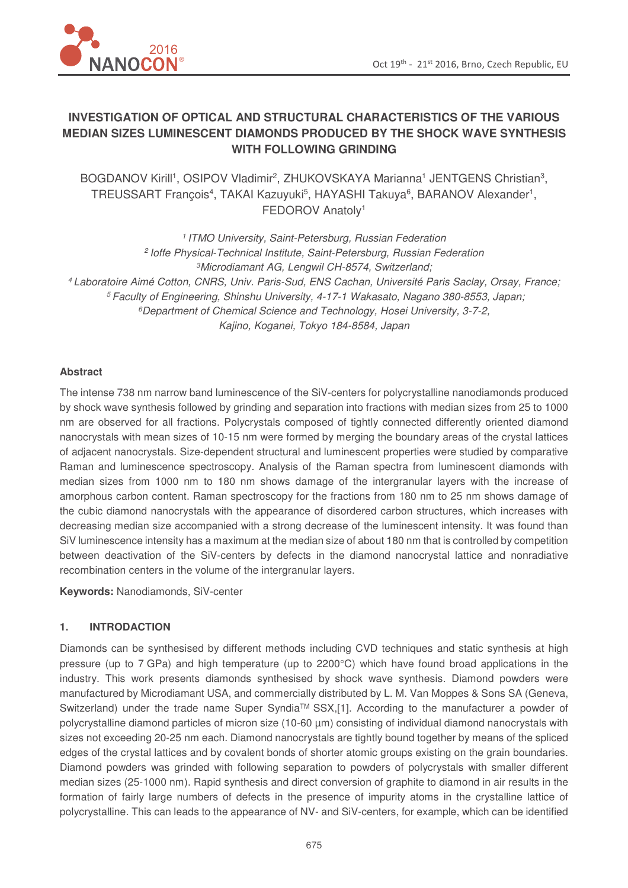

# **INVESTIGATION OF OPTICAL AND STRUCTURAL CHARACTERISTICS OF THE VARIOUS MEDIAN SIZES LUMINESCENT DIAMONDS PRODUCED BY THE SHOCK WAVE SYNTHESIS WITH FOLLOWING GRINDING**

BOGDANOV Kirill<sup>1</sup>, OSIPOV Vladimir<sup>2</sup>, ZHUKOVSKAYA Marianna<sup>1</sup> JENTGENS Christian<sup>3</sup>, TREUSSART François<sup>4</sup>, TAKAI Kazuyuki<sup>5</sup>, HAYASHI Takuya<sup>6</sup>, BARANOV Alexander<sup>1</sup>, FEDOROV Anatoly<sup>1</sup>

<sup>1</sup> ITMO University, Saint-Petersburg, Russian Federation <sup>2</sup> Ioffe Physical-Technical Institute, Saint-Petersburg, Russian Federation <sup>3</sup>Microdiamant AG, Lengwil CH-8574, Switzerland; <sup>4</sup>Laboratoire Aimé Cotton, CNRS, Univ. Paris-Sud, ENS Cachan, Université Paris Saclay, Orsay, France; <sup>5</sup>Faculty of Engineering, Shinshu University, 4-17-1 Wakasato, Nagano 380-8553, Japan; <sup>6</sup>Department of Chemical Science and Technology, Hosei University, 3-7-2, Kajino, Koganei, Tokyo 184-8584, Japan

### **Abstract**

The intense 738 nm narrow band luminescence of the SiV-centers for polycrystalline nanodiamonds produced by shock wave synthesis followed by grinding and separation into fractions with median sizes from 25 to 1000 nm are observed for all fractions. Polycrystals composed of tightly connected differently oriented diamond nanocrystals with mean sizes of 10-15 nm were formed by merging the boundary areas of the crystal lattices of adjacent nanocrystals. Size-dependent structural and luminescent properties were studied by comparative Raman and luminescence spectroscopy. Analysis of the Raman spectra from luminescent diamonds with median sizes from 1000 nm to 180 nm shows damage of the intergranular layers with the increase of amorphous carbon content. Raman spectroscopy for the fractions from 180 nm to 25 nm shows damage of the cubic diamond nanocrystals with the appearance of disordered carbon structures, which increases with decreasing median size accompanied with a strong decrease of the luminescent intensity. It was found than SiV luminescence intensity has a maximum at the median size of about 180 nm that is controlled by competition between deactivation of the SiV-centers by defects in the diamond nanocrystal lattice and nonradiative recombination centers in the volume of the intergranular layers.

**Keywords:** Nanodiamonds, SiV-center

# **1. INTRODACTION**

Diamonds can be synthesised by different methods including CVD techniques and static synthesis at high pressure (up to 7 GPa) and high temperature (up to 2200°C) which have found broad applications in the industry. This work presents diamonds synthesised by shock wave synthesis. Diamond powders were manufactured by Microdiamant USA, and commercially distributed by L. M. Van Moppes & Sons SA (Geneva, Switzerland) under the trade name Super Syndia™ SSX,[1]. According to the manufacturer a powder of polycrystalline diamond particles of micron size (10-60 µm) consisting of individual diamond nanocrystals with sizes not exceeding 20-25 nm each. Diamond nanocrystals are tightly bound together by means of the spliced edges of the crystal lattices and by covalent bonds of shorter atomic groups existing on the grain boundaries. Diamond powders was grinded with following separation to powders of polycrystals with smaller different median sizes (25-1000 nm). Rapid synthesis and direct conversion of graphite to diamond in air results in the formation of fairly large numbers of defects in the presence of impurity atoms in the crystalline lattice of polycrystalline. This can leads to the appearance of NV- and SiV-centers, for example, which can be identified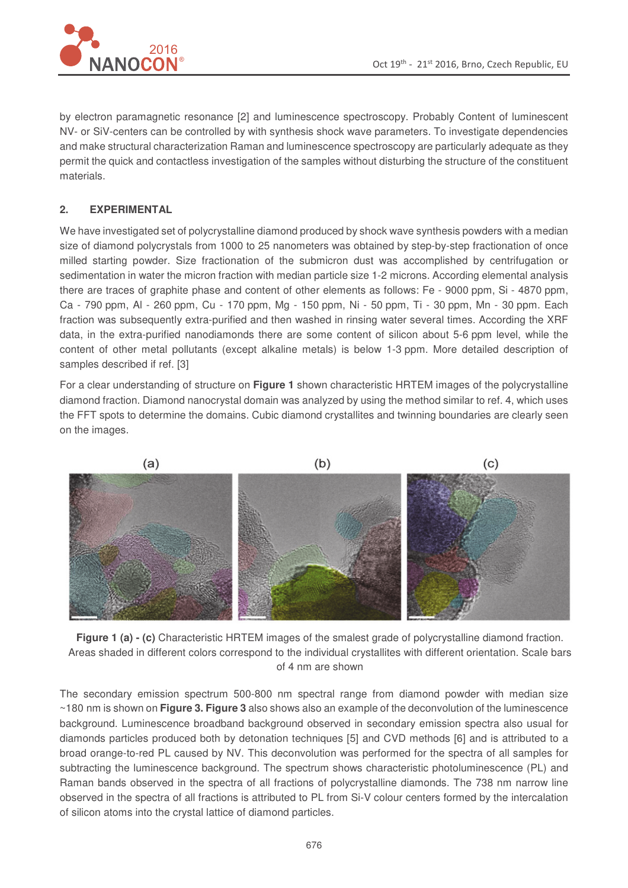by electron paramagnetic resonance [2] and luminescence spectroscopy. Probably Content of luminescent NV- or SiV-centers can be controlled by with synthesis shock wave parameters. To investigate dependencies and make structural characterization Raman and luminescence spectroscopy are particularly adequate as they permit the quick and contactless investigation of the samples without disturbing the structure of the constituent materials.

# **2. EXPERIMENTAL**

We have investigated set of polycrystalline diamond produced by shock wave synthesis powders with a median size of diamond polycrystals from 1000 to 25 nanometers was obtained by step-by-step fractionation of once milled starting powder. Size fractionation of the submicron dust was accomplished by centrifugation or sedimentation in water the micron fraction with median particle size 1-2 microns. According elemental analysis there are traces of graphite phase and content of other elements as follows: Fe - 9000 ppm, Si - 4870 ppm, Ca - 790 ppm, Al - 260 ppm, Cu - 170 ppm, Mg - 150 ppm, Ni - 50 ppm, Ti - 30 ppm, Mn - 30 ppm. Each fraction was subsequently extra-purified and then washed in rinsing water several times. According the XRF data, in the extra-purified nanodiamonds there are some content of silicon about 5-6 ppm level, while the content of other metal pollutants (except alkaline metals) is below 1-3 ppm. More detailed description of samples described if ref. [3]

For a clear understanding of structure on **Figure 1** shown characteristic HRTEM images of the polycrystalline diamond fraction. Diamond nanocrystal domain was analyzed by using the method similar to ref. 4, which uses the FFT spots to determine the domains. Cubic diamond crystallites and twinning boundaries are clearly seen on the images.



**Figure 1 (a) - (c)** Characteristic HRTEM images of the smalest grade of polycrystalline diamond fraction. Areas shaded in different colors correspond to the individual crystallites with different orientation. Scale bars of 4 nm are shown

The secondary emission spectrum 500-800 nm spectral range from diamond powder with median size ~180 nm is shown on **Figure 3. Figure 3** also shows also an example of the deconvolution of the luminescence background. Luminescence broadband background observed in secondary emission spectra also usual for diamonds particles produced both by detonation techniques [5] and CVD methods [6] and is attributed to a broad orange-to-red PL caused by NV. This deconvolution was performed for the spectra of all samples for subtracting the luminescence background. The spectrum shows characteristic photoluminescence (PL) and Raman bands observed in the spectra of all fractions of polycrystalline diamonds. The 738 nm narrow line observed in the spectra of all fractions is attributed to PL from Si-V colour centers formed by the intercalation of silicon atoms into the crystal lattice of diamond particles.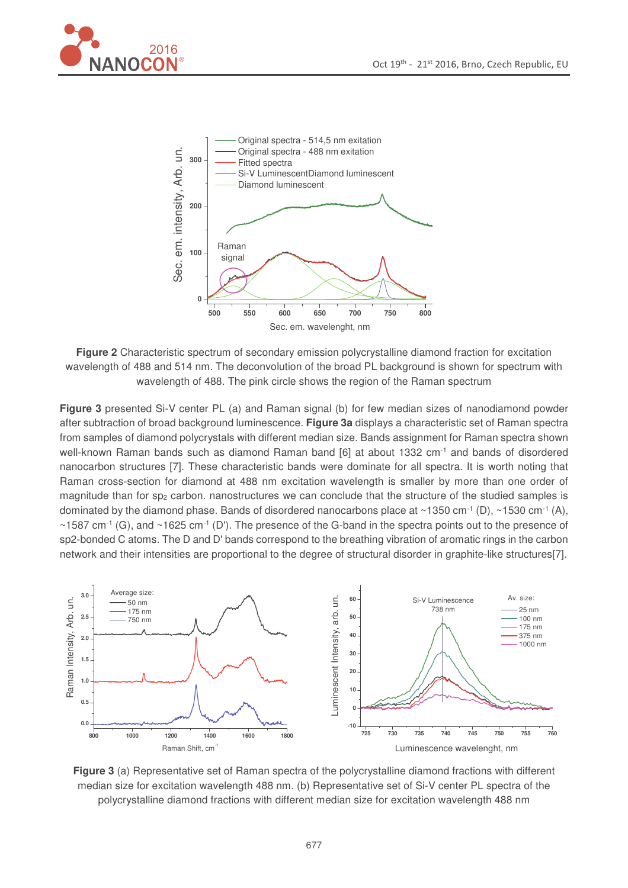

**Figure 2** Characteristic spectrum of secondary emission polycrystalline diamond fraction for excitation wavelength of 488 and 514 nm. The deconvolution of the broad PL background is shown for spectrum with wavelength of 488. The pink circle shows the region of the Raman spectrum

**Figure 3** presented Si-V center PL (a) and Raman signal (b) for few median sizes of nanodiamond powder after subtraction of broad background luminescence. **Figure 3a** displays a characteristic set of Raman spectra from samples of diamond polycrystals with different median size. Bands assignment for Raman spectra shown well-known Raman bands such as diamond Raman band [6] at about 1332 cm<sup>-1</sup> and bands of disordered nanocarbon structures [7]. These characteristic bands were dominate for all spectra. It is worth noting that Raman cross-section for diamond at 488 nm excitation wavelength is smaller by more than one order of magnitude than for sp<sub>2</sub> carbon. nanostructures we can conclude that the structure of the studied samples is dominated by the diamond phase. Bands of disordered nanocarbons place at ~1350 cm<sup>-1</sup> (D), ~1530 cm<sup>-1</sup> (A), ~1587 cm<sup>-1</sup> (G), and ~1625 cm<sup>-1</sup> (D'). The presence of the G-band in the spectra points out to the presence of sp2-bonded C atoms. The D and D' bands correspond to the breathing vibration of aromatic rings in the carbon network and their intensities are proportional to the degree of structural disorder in graphite-like structures[7].



**Figure 3** (a) Representative set of Raman spectra of the polycrystalline diamond fractions with different median size for excitation wavelength 488 nm. (b) Representative set of Si-V center PL spectra of the polycrystalline diamond fractions with different median size for excitation wavelength 488 nm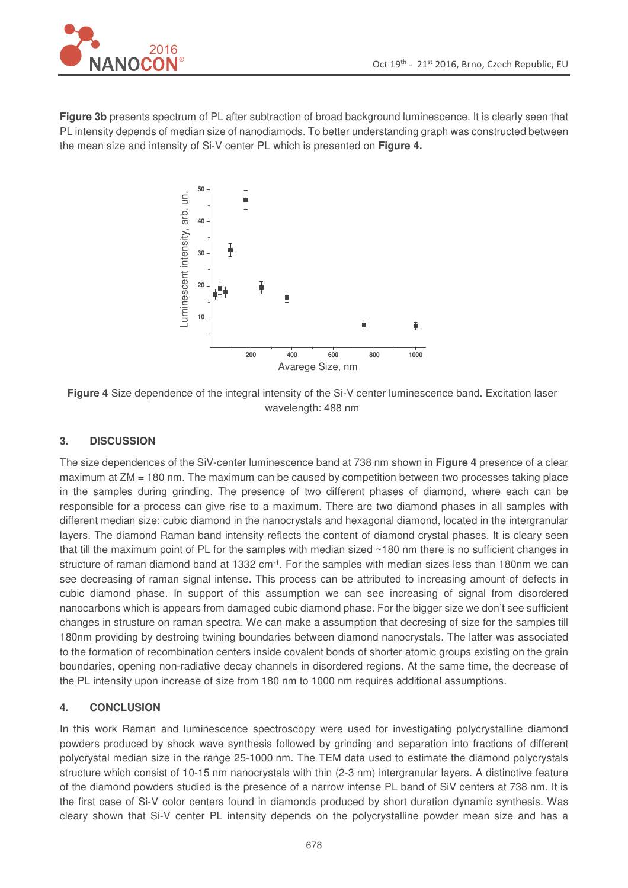

**Figure 3b** presents spectrum of PL after subtraction of broad background luminescence. It is clearly seen that PL intensity depends of median size of nanodiamods. To better understanding graph was constructed between the mean size and intensity of Si-V center PL which is presented on **Figure 4.**



**Figure 4** Size dependence of the integral intensity of the Si-V center luminescence band. Excitation laser wavelength: 488 nm

## **3. DISCUSSION**

The size dependences of the SiV-center luminescence band at 738 nm shown in **Figure 4** presence of a clear maximum at ZM = 180 nm. The maximum can be caused by competition between two processes taking place in the samples during grinding. The presence of two different phases of diamond, where each can be responsible for a process can give rise to a maximum. There are two diamond phases in all samples with different median size: cubic diamond in the nanocrystals and hexagonal diamond, located in the intergranular layers. The diamond Raman band intensity reflects the content of diamond crystal phases. It is cleary seen that till the maximum point of PL for the samples with median sized ~180 nm there is no sufficient changes in structure of raman diamond band at 1332 cm $^{-1}$ . For the samples with median sizes less than 180nm we can see decreasing of raman signal intense. This process can be attributed to increasing amount of defects in cubic diamond phase. In support of this assumption we can see increasing of signal from disordered nanocarbons which is appears from damaged cubic diamond phase. For the bigger size we don't see sufficient changes in strusture on raman spectra. We can make a assumption that decresing of size for the samples till 180nm providing by destroing twining boundaries between diamond nanocrystals. The latter was associated to the formation of recombination centers inside covalent bonds of shorter atomic groups existing on the grain boundaries, opening non-radiative decay channels in disordered regions. At the same time, the decrease of the PL intensity upon increase of size from 180 nm to 1000 nm requires additional assumptions.

#### **4. CONCLUSION**

In this work Raman and luminescence spectroscopy were used for investigating polycrystalline diamond powders produced by shock wave synthesis followed by grinding and separation into fractions of different polycrystal median size in the range 25-1000 nm. The TEM data used to estimate the diamond polycrystals structure which consist of 10-15 nm nanocrystals with thin (2-3 nm) intergranular layers. A distinctive feature of the diamond powders studied is the presence of a narrow intense PL band of SiV centers at 738 nm. It is the first case of Si-V color centers found in diamonds produced by short duration dynamic synthesis. Was cleary shown that Si-V center PL intensity depends on the polycrystalline powder mean size and has a